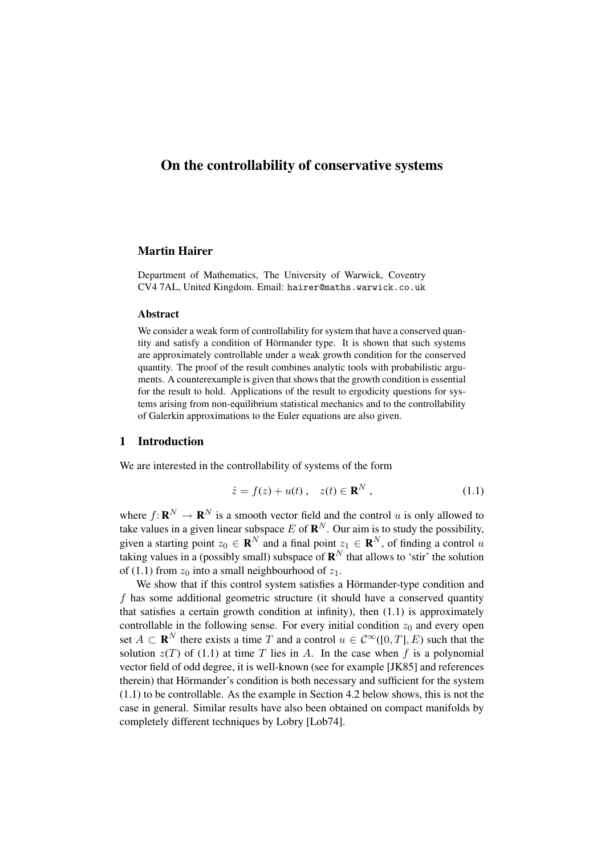# On the controllability of conservative systems

# Martin Hairer

Department of Mathematics, The University of Warwick, Coventry CV4 7AL, United Kingdom. Email: hairer@maths.warwick.co.uk

#### Abstract

We consider a weak form of controllability for system that have a conserved quantity and satisfy a condition of Hörmander type. It is shown that such systems are approximately controllable under a weak growth condition for the conserved quantity. The proof of the result combines analytic tools with probabilistic arguments. A counterexample is given that shows that the growth condition is essential for the result to hold. Applications of the result to ergodicity questions for systems arising from non-equilibrium statistical mechanics and to the controllability of Galerkin approximations to the Euler equations are also given.

### 1 Introduction

We are interested in the controllability of systems of the form

$$
\dot{z} = f(z) + u(t) , \quad z(t) \in \mathbf{R}^{N} , \qquad (1.1)
$$

where  $f: \mathbf{R}^N \to \mathbf{R}^N$  is a smooth vector field and the control u is only allowed to take values in a given linear subspace E of  $\mathbb{R}^N$ . Our aim is to study the possibility, given a starting point  $z_0 \in \mathbf{R}^N$  and a final point  $z_1 \in \mathbf{R}^N$ , of finding a control u taking values in a (possibly small) subspace of  $\mathbf{R}^N$  that allows to 'stir' the solution of (1.1) from  $z_0$  into a small neighbourhood of  $z_1$ .

We show that if this control system satisfies a Hörmander-type condition and f has some additional geometric structure (it should have a conserved quantity that satisfies a certain growth condition at infinity), then (1.1) is approximately controllable in the following sense. For every initial condition  $z_0$  and every open set  $A \subset \mathbf{R}^N$  there exists a time T and a control  $u \in C^\infty([0,T], E)$  such that the solution  $z(T)$  of (1.1) at time T lies in A. In the case when f is a polynomial vector field of odd degree, it is well-known (see for example [JK85] and references therein) that Hörmander's condition is both necessary and sufficient for the system (1.1) to be controllable. As the example in Section 4.2 below shows, this is not the case in general. Similar results have also been obtained on compact manifolds by completely different techniques by Lobry [Lob74].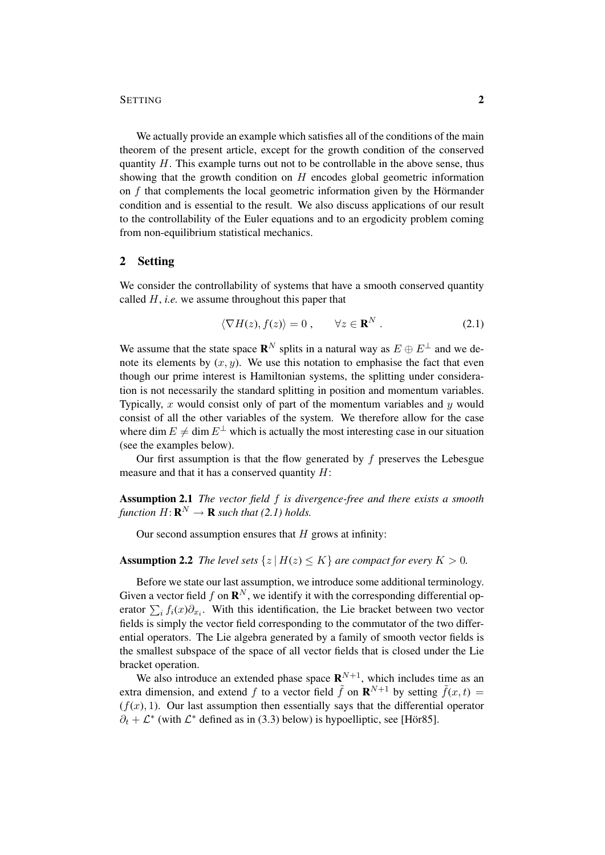# SETTING 2

We actually provide an example which satisfies all of the conditions of the main theorem of the present article, except for the growth condition of the conserved quantity  $H$ . This example turns out not to be controllable in the above sense, thus showing that the growth condition on  $H$  encodes global geometric information on  $f$  that complements the local geometric information given by the Hörmander condition and is essential to the result. We also discuss applications of our result to the controllability of the Euler equations and to an ergodicity problem coming from non-equilibrium statistical mechanics.

# 2 Setting

We consider the controllability of systems that have a smooth conserved quantity called H, *i.e.* we assume throughout this paper that

$$
\langle \nabla H(z), f(z) \rangle = 0, \qquad \forall z \in \mathbf{R}^N. \tag{2.1}
$$

We assume that the state space  $\mathbb{R}^N$  splits in a natural way as  $E \oplus E^{\perp}$  and we denote its elements by  $(x, y)$ . We use this notation to emphasise the fact that even though our prime interest is Hamiltonian systems, the splitting under consideration is not necessarily the standard splitting in position and momentum variables. Typically, x would consist only of part of the momentum variables and  $y$  would consist of all the other variables of the system. We therefore allow for the case where dim  $E \neq \dim E^{\perp}$  which is actually the most interesting case in our situation (see the examples below).

Our first assumption is that the flow generated by  $f$  preserves the Lebesgue measure and that it has a conserved quantity  $H$ :

Assumption 2.1 *The vector field* f *is divergence-free and there exists a smooth* function  $H: \mathbf{R}^N \to \mathbf{R}$  such that (2.1) holds.

Our second assumption ensures that  $H$  grows at infinity:

## **Assumption 2.2** *The level sets*  $\{z | H(z) \leq K\}$  *are compact for every*  $K > 0$ *.*

Before we state our last assumption, we introduce some additional terminology. Given a vector field f on  $\mathbf{R}^N$ , we identify it with the corresponding differential operator  $\sum_i f_i(x)\partial_{x_i}$ . With this identification, the Lie bracket between two vector fields is simply the vector field corresponding to the commutator of the two differential operators. The Lie algebra generated by a family of smooth vector fields is the smallest subspace of the space of all vector fields that is closed under the Lie bracket operation.

We also introduce an extended phase space  $\mathbb{R}^{N+1}$ , which includes time as an extra dimension, and extend f to a vector field  $\tilde{f}$  on  $\mathbf{R}^{N+1}$  by setting  $\tilde{f}(x,t)$  $(f(x), 1)$ . Our last assumption then essentially says that the differential operator  $\partial_t + \mathcal{L}^*$  (with  $\mathcal{L}^*$  defined as in (3.3) below) is hypoelliptic, see [Hör85].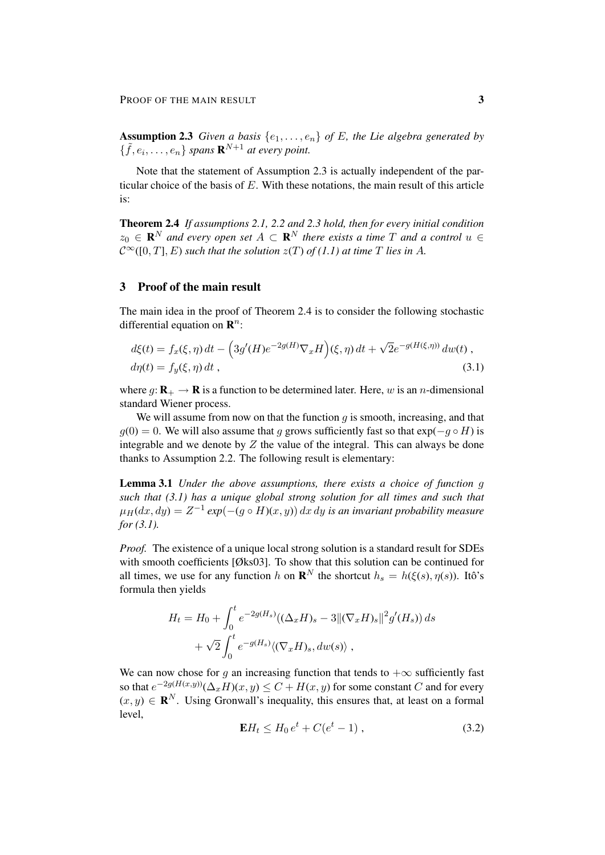**Assumption 2.3** *Given a basis*  $\{e_1, \ldots, e_n\}$  *of E, the Lie algebra generated by*  $\{\tilde{f}, e_i, \ldots, e_n\}$  spans  $\mathbf{R}^{N+1}$  at every point.

Note that the statement of Assumption 2.3 is actually independent of the particular choice of the basis of  $E$ . With these notations, the main result of this article is:

Theorem 2.4 *If assumptions 2.1, 2.2 and 2.3 hold, then for every initial condition*  $z_0 \in \mathbf{R}^N$  and every open set  $A \subset \mathbf{R}^N$  there exists a time T and a control  $u \in$  $C^{\infty}([0, T], E)$  *such that the solution*  $z(T)$  *of* (1.1) *at time* T *lies in* A.

# 3 Proof of the main result

The main idea in the proof of Theorem 2.4 is to consider the following stochastic differential equation on  $\mathbb{R}^n$ :

$$
d\xi(t) = f_x(\xi, \eta) dt - \left(3g'(H)e^{-2g(H)}\nabla_x H\right)(\xi, \eta) dt + \sqrt{2}e^{-g(H(\xi, \eta))} dw(t) ,
$$
  
\n
$$
d\eta(t) = f_y(\xi, \eta) dt ,
$$
\n(3.1)

where  $g: \mathbf{R}_{+} \to \mathbf{R}$  is a function to be determined later. Here, w is an *n*-dimensional standard Wiener process.

We will assume from now on that the function  $g$  is smooth, increasing, and that  $g(0) = 0$ . We will also assume that g grows sufficiently fast so that  $\exp(-g \circ H)$  is integrable and we denote by  $Z$  the value of the integral. This can always be done thanks to Assumption 2.2. The following result is elementary:

Lemma 3.1 *Under the above assumptions, there exists a choice of function* g *such that (3.1) has a unique global strong solution for all times and such that*  $\mu_H(dx,dy) = Z^{-1} \exp(-(g \circ H)(x,y)) dx dy$  is an invariant probability measure *for (3.1).*

*Proof.* The existence of a unique local strong solution is a standard result for SDEs with smooth coefficients [Øks03]. To show that this solution can be continued for all times, we use for any function h on  $\mathbf{R}^N$  the shortcut  $h_s = h(\xi(s), \eta(s))$ . Itô's formula then yields

$$
H_t = H_0 + \int_0^t e^{-2g(H_s)} \left( (\Delta_x H)_s - 3 \| (\nabla_x H)_s \|^2 g'(H_s) \right) ds
$$
  
+  $\sqrt{2} \int_0^t e^{-g(H_s)} \left\langle (\nabla_x H)_s, dw(s) \right\rangle$ ,

We can now chose for g an increasing function that tends to  $+\infty$  sufficiently fast so that  $e^{-2g(H(x,y))}(\Delta_x H)(x,y) \leq C + H(x,y)$  for some constant  $C$  and for every  $(x, y) \in \mathbf{R}^{N}$ . Using Gronwall's inequality, this ensures that, at least on a formal level,

$$
\mathbf{E}H_t \le H_0 e^t + C(e^t - 1) , \qquad (3.2)
$$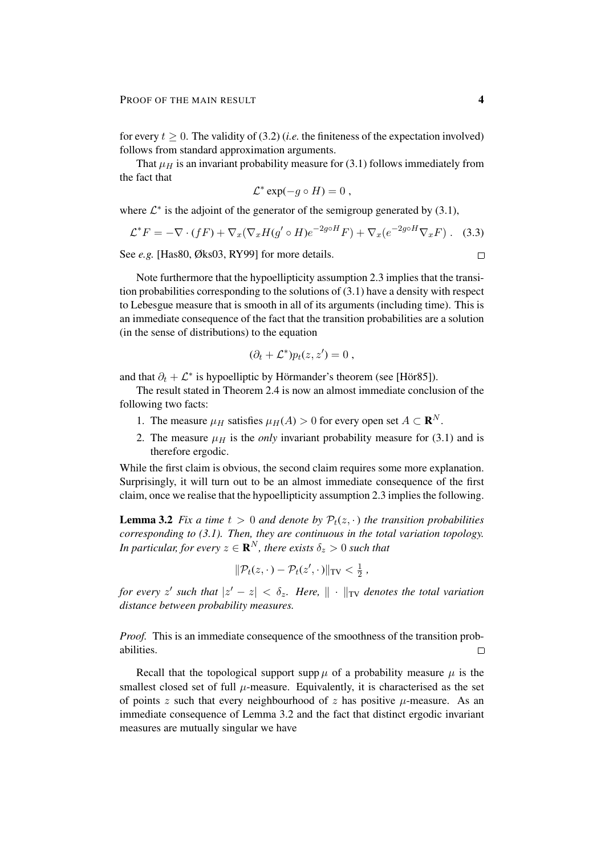for every  $t \geq 0$ . The validity of (3.2) (*i.e.* the finiteness of the expectation involved) follows from standard approximation arguments.

That  $\mu$  is an invariant probability measure for (3.1) follows immediately from the fact that

$$
\mathcal{L}^* \exp(-g \circ H) = 0,
$$

where  $\mathcal{L}^*$  is the adjoint of the generator of the semigroup generated by (3.1),

$$
\mathcal{L}^* F = -\nabla \cdot (fF) + \nabla_x (\nabla_x H(g' \circ H)e^{-2g \circ H} F) + \nabla_x (e^{-2g \circ H} \nabla_x F). \tag{3.3}
$$

See *e.g.* [Has80, Øks03, RY99] for more details.

Note furthermore that the hypoellipticity assumption 2.3 implies that the transition probabilities corresponding to the solutions of (3.1) have a density with respect to Lebesgue measure that is smooth in all of its arguments (including time). This is an immediate consequence of the fact that the transition probabilities are a solution (in the sense of distributions) to the equation

$$
(\partial_t + \mathcal{L}^*) p_t(z, z') = 0 ,
$$

and that  $\partial_t + \mathcal{L}^*$  is hypoelliptic by Hörmander's theorem (see [Hör85]).

The result stated in Theorem 2.4 is now an almost immediate conclusion of the following two facts:

- 1. The measure  $\mu_H$  satisfies  $\mu_H(A) > 0$  for every open set  $A \subset \mathbf{R}^N$ .
- 2. The measure  $\mu$ <sub>H</sub> is the *only* invariant probability measure for (3.1) and is therefore ergodic.

While the first claim is obvious, the second claim requires some more explanation. Surprisingly, it will turn out to be an almost immediate consequence of the first claim, once we realise that the hypoellipticity assumption 2.3 implies the following.

**Lemma 3.2** *Fix a time*  $t > 0$  *and denote by*  $P_t(z, \cdot)$  *the transition probabilities corresponding to (3.1). Then, they are continuous in the total variation topology.* In particular, for every  $z \in \mathbf{R}^N$ , there exists  $\delta_z > 0$  such that

$$
\|\mathcal{P}_t(z,\cdot)-\mathcal{P}_t(z',\cdot)\|_{TV}<\tfrac{1}{2},
$$

*for every*  $z'$  such that  $|z' - z| < \delta_z$ . Here,  $\| \cdot \|_{TV}$  denotes the total variation *distance between probability measures.*

*Proof.* This is an immediate consequence of the smoothness of the transition probabilities.  $\Box$ 

Recall that the topological support supp  $\mu$  of a probability measure  $\mu$  is the smallest closed set of full  $\mu$ -measure. Equivalently, it is characterised as the set of points z such that every neighbourhood of z has positive  $\mu$ -measure. As an immediate consequence of Lemma 3.2 and the fact that distinct ergodic invariant measures are mutually singular we have

$$
\Box
$$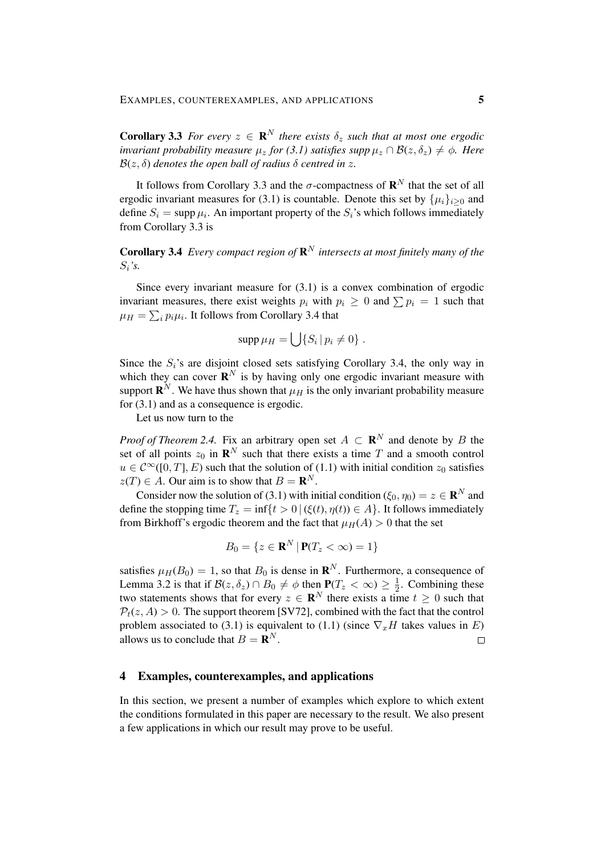**Corollary 3.3** *For every*  $z \in \mathbb{R}^N$  *there exists*  $\delta_z$  *such that at most one ergodic invariant probability measure*  $\mu_z$  *for (3.1) satisfies supp*  $\mu_z \cap \mathcal{B}(z, \delta_z) \neq \phi$ *. Here*  $B(z, \delta)$  *denotes the open ball of radius*  $\delta$  *centred in* z.

It follows from Corollary 3.3 and the  $\sigma$ -compactness of  $\mathbf{R}^N$  that the set of all ergodic invariant measures for (3.1) is countable. Denote this set by  $\{\mu_i\}_{i>0}$  and define  $S_i = \text{supp }\mu_i$ . An important property of the  $S_i$ 's which follows immediately from Corollary 3.3 is

**Corollary 3.4** *Every compact region of*  $\mathbb{R}^N$  *intersects at most finitely many of the* Si*'s.*

Since every invariant measure for (3.1) is a convex combination of ergodic invariant measures, there exist weights  $p_i$  with  $p_i \geq 0$  and  $\sum p_i = 1$  such that  $\mu_H = \sum_i p_i \mu_i$ . It follows from Corollary 3.4 that

$$
\operatorname{supp} \mu_H = \bigcup \{ S_i \, | \, p_i \neq 0 \} \, .
$$

Since the  $S_i$ 's are disjoint closed sets satisfying Corollary 3.4, the only way in which they can cover  $\mathbf{R}^{N}$  is by having only one ergodic invariant measure with support  $\mathbf{R}^{N}$ . We have thus shown that  $\mu_{H}$  is the only invariant probability measure for (3.1) and as a consequence is ergodic.

Let us now turn to the

*Proof of Theorem 2.4.* Fix an arbitrary open set  $A \subset \mathbb{R}^N$  and denote by B the set of all points  $z_0$  in  $\mathbf{R}^N$  such that there exists a time T and a smooth control  $u \in C^{\infty}([0, T], E)$  such that the solution of  $(1.1)$  with initial condition  $z_0$  satisfies  $z(T) \in A$ . Our aim is to show that  $B = \mathbf{R}^{N}$ .

Consider now the solution of (3.1) with initial condition ( $\xi_0, \eta_0$ ) =  $z \in \mathbb{R}^N$  and define the stopping time  $T_z = \inf\{t > 0 \mid (\xi(t), \eta(t)) \in A\}$ . It follows immediately from Birkhoff's ergodic theorem and the fact that  $\mu_H(A) > 0$  that the set

$$
B_0 = \{ z \in \mathbf{R}^N \, | \, \mathbf{P}(T_z < \infty) = 1 \}
$$

satisfies  $\mu_H(B_0) = 1$ , so that  $B_0$  is dense in  $\mathbb{R}^N$ . Furthermore, a consequence of Lemma 3.2 is that if  $\mathcal{B}(z, \delta_z) \cap B_0 \neq \phi$  then  $P(T_z < \infty) \geq \frac{1}{2}$  $\frac{1}{2}$ . Combining these two statements shows that for every  $z \in \mathbb{R}^{N}$  there exists a time  $t \geq 0$  such that  $P_t(z, A) > 0$ . The support theorem [SV72], combined with the fact that the control problem associated to (3.1) is equivalent to (1.1) (since  $\nabla_x H$  takes values in E) allows us to conclude that  $B = \mathbf{R}^{N}$ .  $\Box$ 

# 4 Examples, counterexamples, and applications

In this section, we present a number of examples which explore to which extent the conditions formulated in this paper are necessary to the result. We also present a few applications in which our result may prove to be useful.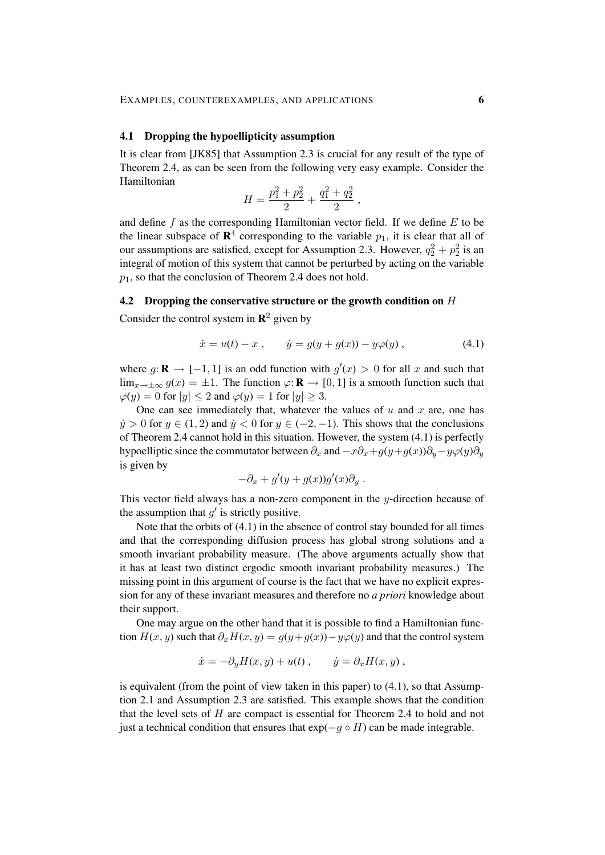#### 4.1 Dropping the hypoellipticity assumption

It is clear from [JK85] that Assumption 2.3 is crucial for any result of the type of Theorem 2.4, as can be seen from the following very easy example. Consider the Hamiltonian

$$
H = \frac{p_1^2 + p_2^2}{2} + \frac{q_1^2 + q_2^2}{2} ,
$$

and define f as the corresponding Hamiltonian vector field. If we define  $E$  to be the linear subspace of  $\mathbb{R}^4$  corresponding to the variable  $p_1$ , it is clear that all of our assumptions are satisfied, except for Assumption 2.3. However,  $q_2^2 + p_2^2$  is an integral of motion of this system that cannot be perturbed by acting on the variable  $p_1$ , so that the conclusion of Theorem 2.4 does not hold.

#### 4.2 Dropping the conservative structure or the growth condition on H

Consider the control system in  $\mathbb{R}^2$  given by

$$
\dot{x} = u(t) - x , \qquad \dot{y} = g(y + g(x)) - y\varphi(y) , \qquad (4.1)
$$

where  $g: \mathbf{R} \to [-1, 1]$  is an odd function with  $g'(x) > 0$  for all x and such that  $\lim_{x\to\pm\infty} g(x) = \pm 1$ . The function  $\varphi: \mathbf{R} \to [0, 1]$  is a smooth function such that  $\varphi(y) = 0$  for  $|y| \le 2$  and  $\varphi(y) = 1$  for  $|y| \ge 3$ .

One can see immediately that, whatever the values of  $u$  and  $x$  are, one has  $y > 0$  for  $y \in (1, 2)$  and  $y < 0$  for  $y \in (-2, -1)$ . This shows that the conclusions of Theorem 2.4 cannot hold in this situation. However, the system (4.1) is perfectly hypoelliptic since the commutator between  $\partial_x$  and  $-x\partial_x+g(y+g(x))\partial_y-y\varphi(y)\partial_y$ is given by

$$
-\partial_x + g'(y + g(x))g'(x)\partial_y.
$$

This vector field always has a non-zero component in the  $y$ -direction because of the assumption that  $g'$  is strictly positive.

Note that the orbits of (4.1) in the absence of control stay bounded for all times and that the corresponding diffusion process has global strong solutions and a smooth invariant probability measure. (The above arguments actually show that it has at least two distinct ergodic smooth invariant probability measures.) The missing point in this argument of course is the fact that we have no explicit expression for any of these invariant measures and therefore no *a priori* knowledge about their support.

One may argue on the other hand that it is possible to find a Hamiltonian function  $H(x, y)$  such that  $\partial_x H(x, y) = g(y + g(x)) - y\varphi(y)$  and that the control system

$$
\dot{x} = -\partial_y H(x, y) + u(t) , \qquad \dot{y} = \partial_x H(x, y) ,
$$

is equivalent (from the point of view taken in this paper) to  $(4.1)$ , so that Assumption 2.1 and Assumption 2.3 are satisfied. This example shows that the condition that the level sets of  $H$  are compact is essential for Theorem 2.4 to hold and not just a technical condition that ensures that  $exp(-q \circ H)$  can be made integrable.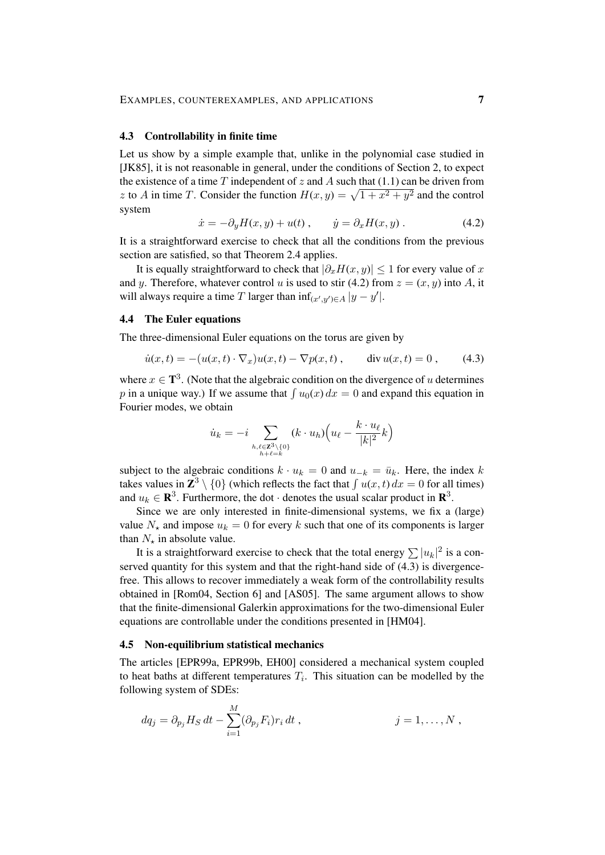#### 4.3 Controllability in finite time

Let us show by a simple example that, unlike in the polynomial case studied in [JK85], it is not reasonable in general, under the conditions of Section 2, to expect the existence of a time  $T$  independent of  $z$  and  $\tilde{A}$  such that (1.1) can be driven from z to A in time T. Consider the function  $H(x, y) = \sqrt{1 + x^2 + y^2}$  and the control system

$$
\dot{x} = -\partial_y H(x, y) + u(t), \qquad \dot{y} = \partial_x H(x, y). \tag{4.2}
$$

It is a straightforward exercise to check that all the conditions from the previous section are satisfied, so that Theorem 2.4 applies.

It is equally straightforward to check that  $|\partial_x H(x, y)| \leq 1$  for every value of x and y. Therefore, whatever control u is used to stir (4.2) from  $z = (x, y)$  into A, it will always require a time T larger than  $\inf_{(x',y')\in A} |y - y'|$ .

# 4.4 The Euler equations

The three-dimensional Euler equations on the torus are given by

$$
\dot{u}(x,t) = -(u(x,t) \cdot \nabla_x)u(x,t) - \nabla p(x,t) , \quad \text{div } u(x,t) = 0 , \quad (4.3)
$$

where  $x \in \mathbf{T}^3$ . (Note that the algebraic condition on the divergence of u determines p in a unique way.) If we assume that  $\int u_0(x) dx = 0$  and expand this equation in Fourier modes, we obtain

$$
\dot{u}_k = -i \sum_{\substack{h,\ell \in \mathbb{Z}^3 \setminus \{0\} \\ h+\ell=k}} (k \cdot u_h) \Big( u_\ell - \frac{k \cdot u_\ell}{|k|^2} k \Big)
$$

subject to the algebraic conditions  $k \cdot u_k = 0$  and  $u_{-k} = \bar{u}_k$ . Here, the index k takes values in  $\mathbb{Z}^3 \setminus \{0\}$  (which reflects the fact that  $\int u(x, t) dx = 0$  for all times) and  $u_k \in \mathbf{R}^3$ . Furthermore, the dot  $\cdot$  denotes the usual scalar product in  $\mathbf{R}^3$ .

Since we are only interested in finite-dimensional systems, we fix a (large) value  $N_{\star}$  and impose  $u_k = 0$  for every k such that one of its components is larger than  $N_{\star}$  in absolute value.

It is a straightforward exercise to check that the total energy  $\sum |u_k|^2$  is a conserved quantity for this system and that the right-hand side of (4.3) is divergencefree. This allows to recover immediately a weak form of the controllability results obtained in [Rom04, Section 6] and [AS05]. The same argument allows to show that the finite-dimensional Galerkin approximations for the two-dimensional Euler equations are controllable under the conditions presented in [HM04].

# 4.5 Non-equilibrium statistical mechanics

The articles [EPR99a, EPR99b, EH00] considered a mechanical system coupled to heat baths at different temperatures  $T_i$ . This situation can be modelled by the following system of SDEs:

$$
dq_j = \partial_{p_j} H_S dt - \sum_{i=1}^M (\partial_{p_j} F_i) r_i dt, \qquad j = 1, \dots, N,
$$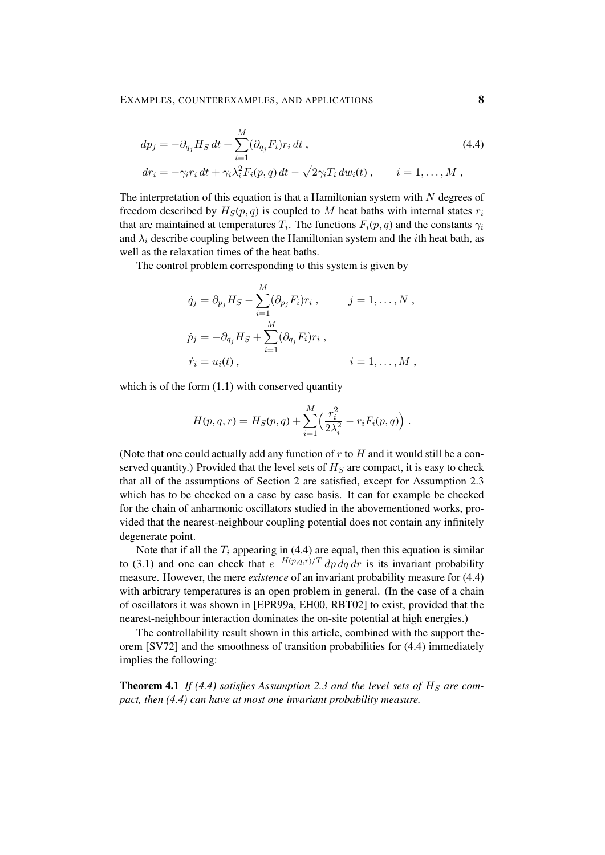$$
dp_j = -\partial_{q_j} H_S dt + \sum_{i=1}^M (\partial_{q_j} F_i) r_i dt,
$$
  
\n
$$
dr_i = -\gamma_i r_i dt + \gamma_i \lambda_i^2 F_i(p, q) dt - \sqrt{2\gamma_i T_i} dw_i(t), \qquad i = 1, ..., M,
$$
\n(4.4)

The interpretation of this equation is that a Hamiltonian system with  $N$  degrees of freedom described by  $H_S(p,q)$  is coupled to M heat baths with internal states  $r_i$ that are maintained at temperatures  $T_i$ . The functions  $F_i(p,q)$  and the constants  $\gamma_i$ and  $\lambda_i$  describe coupling between the Hamiltonian system and the *i*th heat bath, as well as the relaxation times of the heat baths.

The control problem corresponding to this system is given by

$$
\dot{q}_j = \partial_{p_j} H_S - \sum_{i=1}^M (\partial_{p_j} F_i) r_i , \qquad j = 1, \dots, N ,
$$
  

$$
\dot{p}_j = -\partial_{q_j} H_S + \sum_{i=1}^M (\partial_{q_j} F_i) r_i ,
$$
  

$$
\dot{r}_i = u_i(t) , \qquad i = 1, \dots, M ,
$$

which is of the form  $(1.1)$  with conserved quantity

$$
H(p,q,r) = H_S(p,q) + \sum_{i=1}^{M} \left( \frac{r_i^2}{2\lambda_i^2} - r_i F_i(p,q) \right).
$$

(Note that one could actually add any function of  $r$  to  $H$  and it would still be a conserved quantity.) Provided that the level sets of  $H<sub>S</sub>$  are compact, it is easy to check that all of the assumptions of Section 2 are satisfied, except for Assumption 2.3 which has to be checked on a case by case basis. It can for example be checked for the chain of anharmonic oscillators studied in the abovementioned works, provided that the nearest-neighbour coupling potential does not contain any infinitely degenerate point.

Note that if all the  $T_i$  appearing in (4.4) are equal, then this equation is similar to (3.1) and one can check that  $e^{-H(p,q,r)/T} dp dq dr$  is its invariant probability measure. However, the mere *existence* of an invariant probability measure for (4.4) with arbitrary temperatures is an open problem in general. (In the case of a chain of oscillators it was shown in [EPR99a, EH00, RBT02] to exist, provided that the nearest-neighbour interaction dominates the on-site potential at high energies.)

The controllability result shown in this article, combined with the support theorem [SV72] and the smoothness of transition probabilities for (4.4) immediately implies the following:

**Theorem 4.1** If (4.4) satisfies Assumption 2.3 and the level sets of  $H<sub>S</sub>$  are com*pact, then (4.4) can have at most one invariant probability measure.*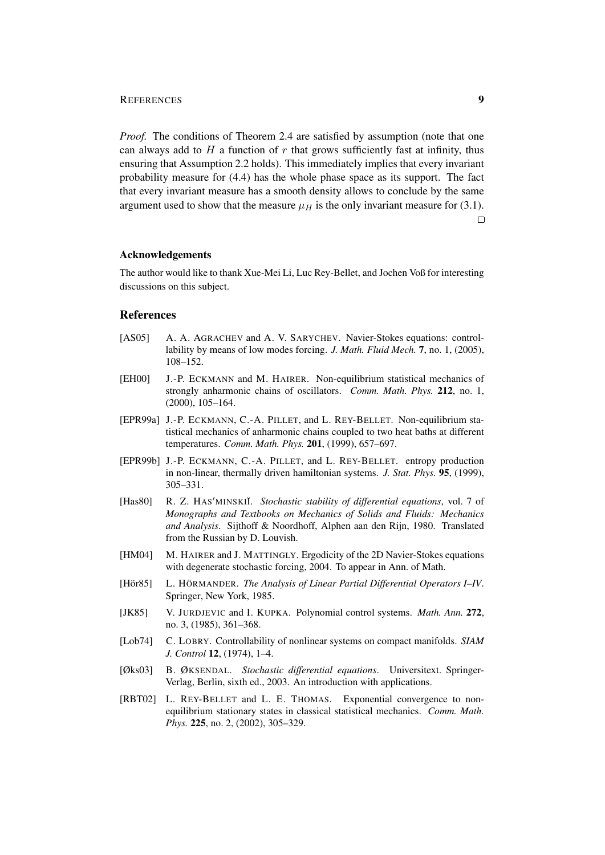### REFERENCES 9

*Proof.* The conditions of Theorem 2.4 are satisfied by assumption (note that one can always add to  $H$  a function of  $r$  that grows sufficiently fast at infinity, thus ensuring that Assumption 2.2 holds). This immediately implies that every invariant probability measure for (4.4) has the whole phase space as its support. The fact that every invariant measure has a smooth density allows to conclude by the same argument used to show that the measure  $\mu_H$  is the only invariant measure for (3.1).

 $\Box$ 

# Acknowledgements

The author would like to thank Xue-Mei Li, Luc Rey-Bellet, and Jochen Voß for interesting discussions on this subject.

### References

- [AS05] A. A. AGRACHEV and A. V. SARYCHEV. Navier-Stokes equations: controllability by means of low modes forcing. *J. Math. Fluid Mech.* 7, no. 1, (2005), 108–152.
- [EH00] J.-P. ECKMANN and M. HAIRER. Non-equilibrium statistical mechanics of strongly anharmonic chains of oscillators. *Comm. Math. Phys.* 212, no. 1, (2000), 105–164.
- [EPR99a] J.-P. ECKMANN, C.-A. PILLET, and L. REY-BELLET. Non-equilibrium statistical mechanics of anharmonic chains coupled to two heat baths at different temperatures. *Comm. Math. Phys.* 201, (1999), 657–697.
- [EPR99b] J.-P. ECKMANN, C.-A. PILLET, and L. REY-BELLET. entropy production in non-linear, thermally driven hamiltonian systems. *J. Stat. Phys.* 95, (1999), 305–331.
- [Has80] R. Z. HAS'MINSKII. *Stochastic stability of differential equations*, vol. 7 of *Monographs and Textbooks on Mechanics of Solids and Fluids: Mechanics and Analysis*. Sijthoff & Noordhoff, Alphen aan den Rijn, 1980. Translated from the Russian by D. Louvish.
- [HM04] M. HAIRER and J. MATTINGLY. Ergodicity of the 2D Navier-Stokes equations with degenerate stochastic forcing, 2004. To appear in Ann. of Math.
- [Hör85] L. HÖRMANDER. *The Analysis of Linear Partial Differential Operators I–IV.* Springer, New York, 1985.
- [JK85] V. JURDJEVIC and I. KUPKA. Polynomial control systems. *Math. Ann.* 272, no. 3, (1985), 361–368.
- [Lob74] C. LOBRY. Controllability of nonlinear systems on compact manifolds. *SIAM J. Control* 12, (1974), 1–4.
- [Øks03] B. ØKSENDAL. *Stochastic differential equations*. Universitext. Springer-Verlag, Berlin, sixth ed., 2003. An introduction with applications.
- [RBT02] L. REY-BELLET and L. E. THOMAS. Exponential convergence to nonequilibrium stationary states in classical statistical mechanics. *Comm. Math. Phys.* **225**, no. 2, (2002), 305–329.